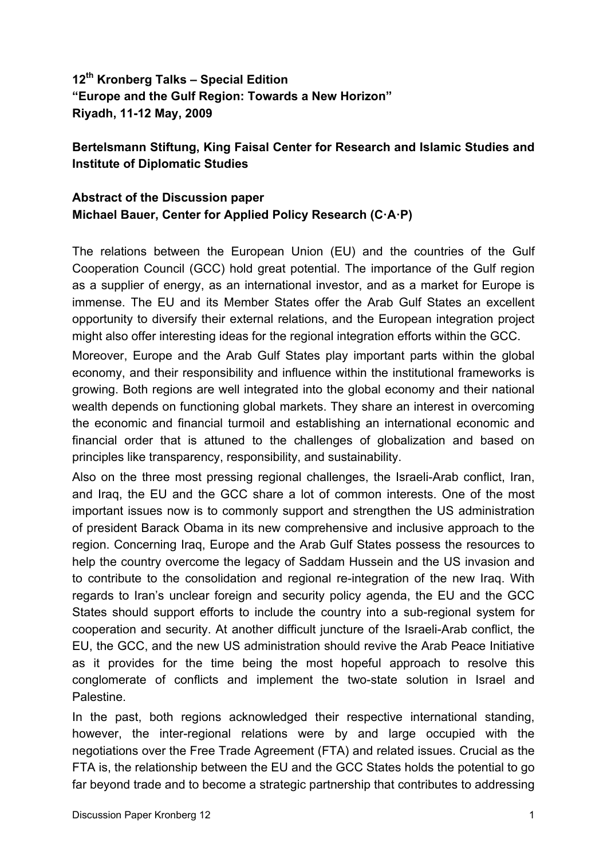**12th Kronberg Talks – Special Edition "Europe and the Gulf Region: Towards a New Horizon" Riyadh, 11-12 May, 2009**

## **Bertelsmann Stiftung, King Faisal Center for Research and Islamic Studies and Institute of Diplomatic Studies**

## **Abstract of the Discussion paper Michael Bauer, Center for Applied Policy Research (C·A·P)**

The relations between the European Union (EU) and the countries of the Gulf Cooperation Council (GCC) hold great potential. The importance of the Gulf region as a supplier of energy, as an international investor, and as a market for Europe is immense. The EU and its Member States offer the Arab Gulf States an excellent opportunity to diversify their external relations, and the European integration project might also offer interesting ideas for the regional integration efforts within the GCC.

Moreover, Europe and the Arab Gulf States play important parts within the global economy, and their responsibility and influence within the institutional frameworks is growing. Both regions are well integrated into the global economy and their national wealth depends on functioning global markets. They share an interest in overcoming the economic and financial turmoil and establishing an international economic and financial order that is attuned to the challenges of globalization and based on principles like transparency, responsibility, and sustainability.

Also on the three most pressing regional challenges, the Israeli-Arab conflict, Iran, and Iraq, the EU and the GCC share a lot of common interests. One of the most important issues now is to commonly support and strengthen the US administration of president Barack Obama in its new comprehensive and inclusive approach to the region. Concerning Iraq, Europe and the Arab Gulf States possess the resources to help the country overcome the legacy of Saddam Hussein and the US invasion and to contribute to the consolidation and regional re-integration of the new Iraq. With regards to Iran's unclear foreign and security policy agenda, the EU and the GCC States should support efforts to include the country into a sub-regional system for cooperation and security. At another difficult juncture of the Israeli-Arab conflict, the EU, the GCC, and the new US administration should revive the Arab Peace Initiative as it provides for the time being the most hopeful approach to resolve this conglomerate of conflicts and implement the two-state solution in Israel and Palestine.

In the past, both regions acknowledged their respective international standing, however, the inter-regional relations were by and large occupied with the negotiations over the Free Trade Agreement (FTA) and related issues. Crucial as the FTA is, the relationship between the EU and the GCC States holds the potential to go far beyond trade and to become a strategic partnership that contributes to addressing